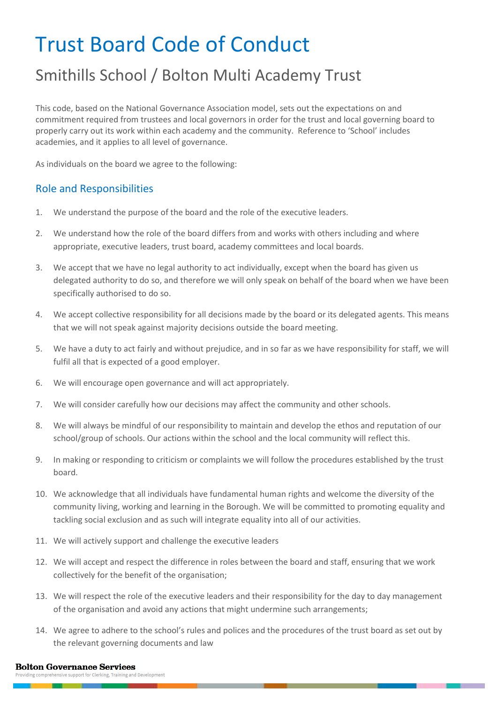# Trust Board Code of Conduct

## Smithills School / Bolton Multi Academy Trust

This code, based on the National Governance Association model, sets out the expectations on and commitment required from trustees and local governors in order for the trust and local governing board to properly carry out its work within each academy and the community. Reference to 'School' includes academies, and it applies to all level of governance.

As individuals on the board we agree to the following:

### Role and Responsibilities

- 1. We understand the purpose of the board and the role of the executive leaders.
- 2. We understand how the role of the board differs from and works with others including and where appropriate, executive leaders, trust board, academy committees and local boards.
- 3. We accept that we have no legal authority to act individually, except when the board has given us delegated authority to do so, and therefore we will only speak on behalf of the board when we have been specifically authorised to do so.
- 4. We accept collective responsibility for all decisions made by the board or its delegated agents. This means that we will not speak against majority decisions outside the board meeting.
- 5. We have a duty to act fairly and without prejudice, and in so far as we have responsibility for staff, we will fulfil all that is expected of a good employer.
- 6. We will encourage open governance and will act appropriately.
- 7. We will consider carefully how our decisions may affect the community and other schools.
- 8. We will always be mindful of our responsibility to maintain and develop the ethos and reputation of our school/group of schools. Our actions within the school and the local community will reflect this.
- 9. In making or responding to criticism or complaints we will follow the procedures established by the trust board.
- 10. We acknowledge that all individuals have fundamental human rights and welcome the diversity of the community living, working and learning in the Borough. We will be committed to promoting equality and tackling social exclusion and as such will integrate equality into all of our activities.
- 11. We will actively support and challenge the executive leaders
- 12. We will accept and respect the difference in roles between the board and staff, ensuring that we work collectively for the benefit of the organisation;
- 13. We will respect the role of the executive leaders and their responsibility for the day to day management of the organisation and avoid any actions that might undermine such arrangements;
- 14. We agree to adhere to the school's rules and polices and the procedures of the trust board as set out by the relevant governing documents and law

#### **Bolton Governance Services**

ng comprehensive support for Clerking, Training and Development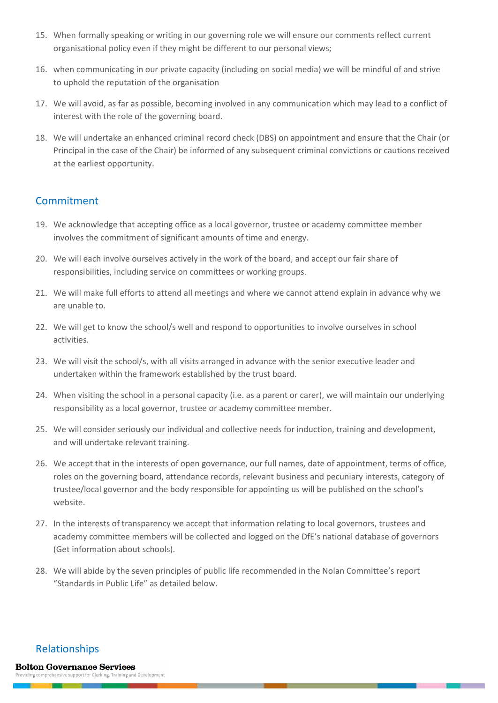- 15. When formally speaking or writing in our governing role we will ensure our comments reflect current organisational policy even if they might be different to our personal views;
- 16. when communicating in our private capacity (including on social media) we will be mindful of and strive to uphold the reputation of the organisation
- 17. We will avoid, as far as possible, becoming involved in any communication which may lead to a conflict of interest with the role of the governing board.
- 18. We will undertake an enhanced criminal record check (DBS) on appointment and ensure that the Chair (or Principal in the case of the Chair) be informed of any subsequent criminal convictions or cautions received at the earliest opportunity.

### Commitment

- 19. We acknowledge that accepting office as a local governor, trustee or academy committee member involves the commitment of significant amounts of time and energy.
- 20. We will each involve ourselves actively in the work of the board, and accept our fair share of responsibilities, including service on committees or working groups.
- 21. We will make full efforts to attend all meetings and where we cannot attend explain in advance why we are unable to.
- 22. We will get to know the school/s well and respond to opportunities to involve ourselves in school activities.
- 23. We will visit the school/s, with all visits arranged in advance with the senior executive leader and undertaken within the framework established by the trust board.
- 24. When visiting the school in a personal capacity (i.e. as a parent or carer), we will maintain our underlying responsibility as a local governor, trustee or academy committee member.
- 25. We will consider seriously our individual and collective needs for induction, training and development, and will undertake relevant training.
- 26. We accept that in the interests of open governance, our full names, date of appointment, terms of office, roles on the governing board, attendance records, relevant business and pecuniary interests, category of trustee/local governor and the body responsible for appointing us will be published on the school's website.
- 27. In the interests of transparency we accept that information relating to local governors, trustees and academy committee members will be collected and logged on the DfE's national database of governors (Get information about schools).
- 28. We will abide by the seven principles of public life recommended in the Nolan Committee's report "Standards in Public Life" as detailed below.

#### Relationships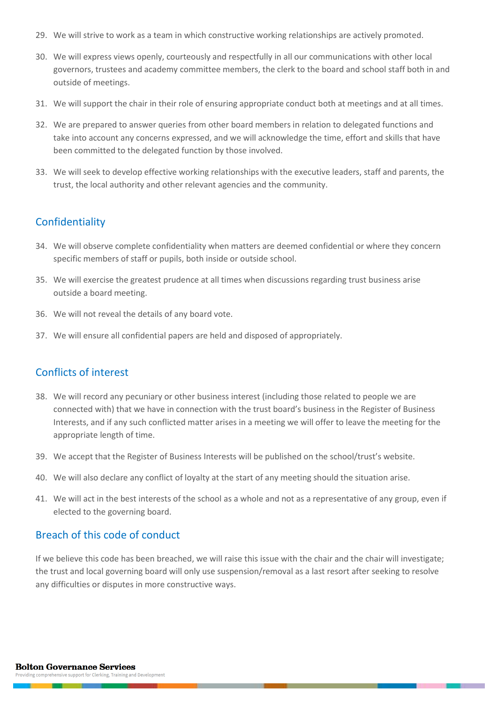- 29. We will strive to work as a team in which constructive working relationships are actively promoted.
- 30. We will express views openly, courteously and respectfully in all our communications with other local governors, trustees and academy committee members, the clerk to the board and school staff both in and outside of meetings.
- 31. We will support the chair in their role of ensuring appropriate conduct both at meetings and at all times.
- 32. We are prepared to answer queries from other board members in relation to delegated functions and take into account any concerns expressed, and we will acknowledge the time, effort and skills that have been committed to the delegated function by those involved.
- 33. We will seek to develop effective working relationships with the executive leaders, staff and parents, the trust, the local authority and other relevant agencies and the community.

#### Confidentiality

- 34. We will observe complete confidentiality when matters are deemed confidential or where they concern specific members of staff or pupils, both inside or outside school.
- 35. We will exercise the greatest prudence at all times when discussions regarding trust business arise outside a board meeting.
- 36. We will not reveal the details of any board vote.
- 37. We will ensure all confidential papers are held and disposed of appropriately.

#### Conflicts of interest

- 38. We will record any pecuniary or other business interest (including those related to people we are connected with) that we have in connection with the trust board's business in the Register of Business Interests, and if any such conflicted matter arises in a meeting we will offer to leave the meeting for the appropriate length of time.
- 39. We accept that the Register of Business Interests will be published on the school/trust's website.
- 40. We will also declare any conflict of loyalty at the start of any meeting should the situation arise.
- 41. We will act in the best interests of the school as a whole and not as a representative of any group, even if elected to the governing board.

### Breach of this code of conduct

If we believe this code has been breached, we will raise this issue with the chair and the chair will investigate; the trust and local governing board will only use suspension/removal as a last resort after seeking to resolve any difficulties or disputes in more constructive ways.